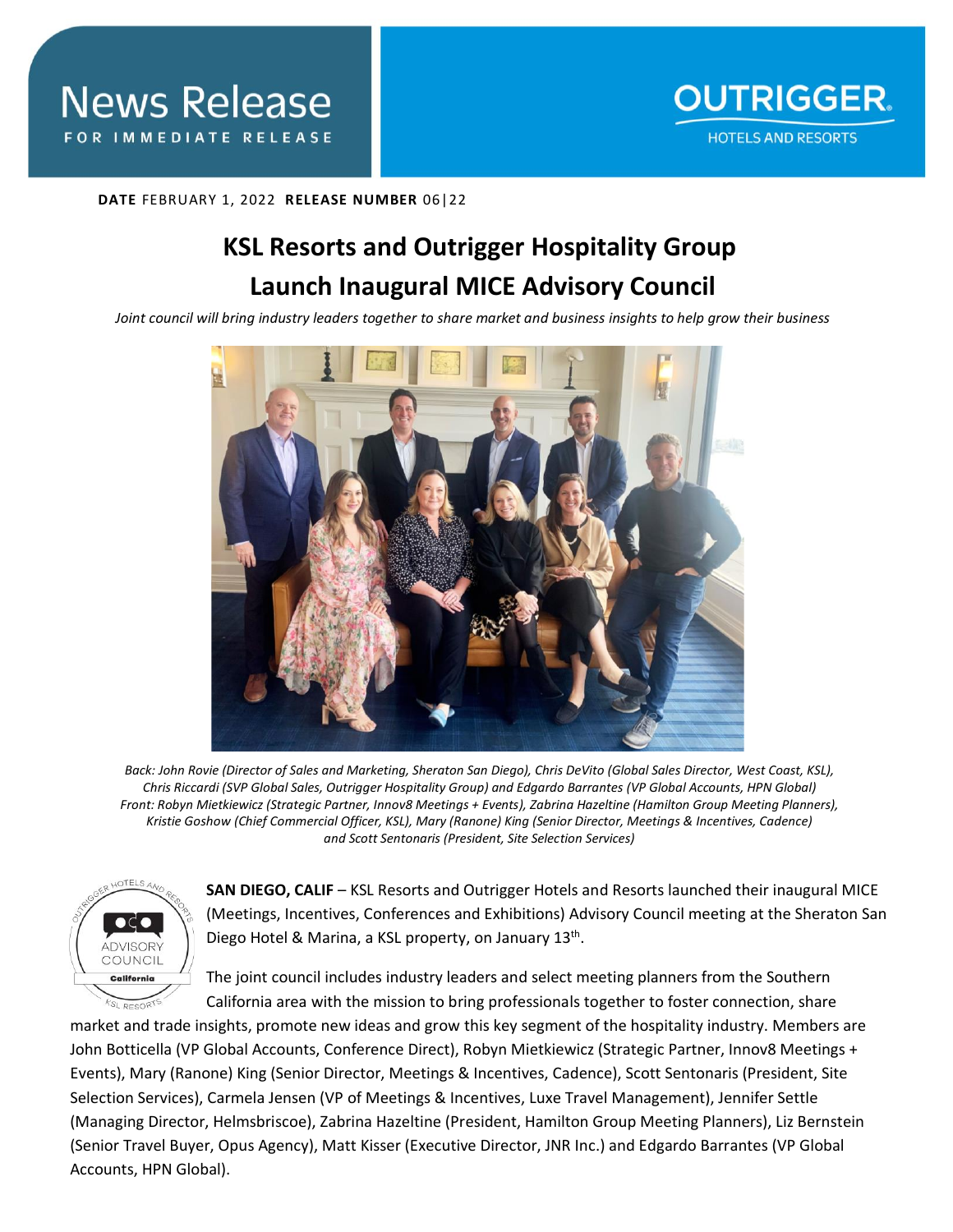## **DATE** FEBRUARY 1, 2022 **RELEASE NUMBER** 06|22

# **KSL Resorts and Outrigger Hospitality Group Launch Inaugural MICE Advisory Council**

*Joint council will bring industry leaders together to share market and business insights to help grow their business* 



*Back: John Rovie (Director of Sales and Marketing, Sheraton San Diego), Chris DeVito (Global Sales Director, West Coast, KSL), Chris Riccardi (SVP Global Sales, Outrigger Hospitality Group) and Edgardo Barrantes (VP Global Accounts, HPN Global) Front: Robyn Mietkiewicz (Strategic Partner, Innov8 Meetings + Events), Zabrina Hazeltine (Hamilton Group Meeting Planners), Kristie Goshow (Chief Commercial Officer, KSL), Mary (Ranone) King (Senior Director, Meetings & Incentives, Cadence) and Scott Sentonaris (President, Site Selection Services)* 



**SAN DIEGO, CALIF** – KSL Resorts and Outrigger Hotels and Resorts launched their inaugural MICE (Meetings, Incentives, Conferences and Exhibitions) Advisory Council meeting at the Sheraton San Diego Hotel & Marina, a KSL property, on January 13th.

The joint council includes industry leaders and select meeting planners from the Southern California area with the mission to bring professionals together to foster connection, share

market and trade insights, promote new ideas and grow this key segment of the hospitality industry. Members are John Botticella (VP Global Accounts, Conference Direct), Robyn Mietkiewicz (Strategic Partner, Innov8 Meetings + Events), Mary (Ranone) King (Senior Director, Meetings & Incentives, Cadence), Scott Sentonaris (President, Site Selection Services), Carmela Jensen (VP of Meetings & Incentives, Luxe Travel Management), Jennifer Settle (Managing Director, Helmsbriscoe), Zabrina Hazeltine (President, Hamilton Group Meeting Planners), Liz Bernstein (Senior Travel Buyer, Opus Agency), Matt Kisser (Executive Director, JNR Inc.) and Edgardo Barrantes (VP Global Accounts, HPN Global).